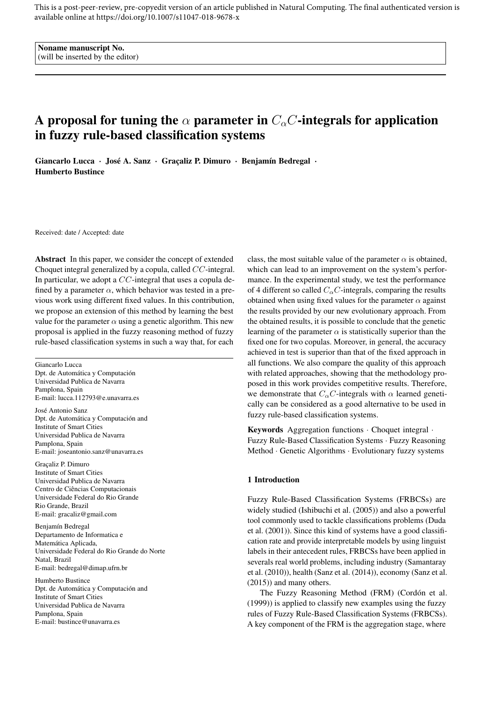This is a post-peer-review, pre-copyedit version of an article published in Natural Computing. The final authenticated version is available online at https://doi.org/10.1007/s11047-018-9678-x

Noname manuscript No. (will be inserted by the editor)

# A proposal for tuning the  $\alpha$  parameter in  $C_{\alpha}C$ -integrals for application in fuzzy rule-based classification systems

Giancarlo Lucca · José A. Sanz · Graçaliz P. Dimuro · Benjamín Bedregal · Humberto Bustince

Received: date / Accepted: date

Abstract In this paper, we consider the concept of extended Choquet integral generalized by a copula, called CC-integral. In particular, we adopt a CC-integral that uses a copula defined by a parameter  $\alpha$ , which behavior was tested in a previous work using different fixed values. In this contribution, we propose an extension of this method by learning the best value for the parameter  $\alpha$  using a genetic algorithm. This new proposal is applied in the fuzzy reasoning method of fuzzy rule-based classification systems in such a way that, for each

Giancarlo Lucca Dpt. de Automática y Computación Universidad Publica de Navarra Pamplona, Spain E-mail: lucca.112793@e.unavarra.es José Antonio Sanz Dpt. de Automática y Computación and Institute of Smart Cities Universidad Publica de Navarra Pamplona, Spain E-mail: joseantonio.sanz@unavarra.es

Graçaliz P. Dimuro Institute of Smart Cities Universidad Publica de Navarra Centro de Ciências Computacionais Universidade Federal do Rio Grande Rio Grande, Brazil E-mail: gracaliz@gmail.com

Benjamín Bedregal Departamento de Informatica e Matemática Aplicada, Universidade Federal do Rio Grande do Norte Natal, Brazil E-mail: bedregal@dimap.ufrn.br

Humberto Bustince Dpt. de Automática y Computación and Institute of Smart Cities Universidad Publica de Navarra Pamplona, Spain E-mail: bustince@unavarra.es

class, the most suitable value of the parameter  $\alpha$  is obtained, which can lead to an improvement on the system's performance. In the experimental study, we test the performance of 4 different so called  $C_{\alpha}C$ -integrals, comparing the results obtained when using fixed values for the parameter  $\alpha$  against the results provided by our new evolutionary approach. From the obtained results, it is possible to conclude that the genetic learning of the parameter  $\alpha$  is statistically superior than the fixed one for two copulas. Moreover, in general, the accuracy achieved in test is superior than that of the fixed approach in all functions. We also compare the quality of this approach with related approaches, showing that the methodology proposed in this work provides competitive results. Therefore, we demonstrate that  $C_{\alpha}C$ -integrals with  $\alpha$  learned genetically can be considered as a good alternative to be used in fuzzy rule-based classification systems.

Keywords Aggregation functions · Choquet integral · Fuzzy Rule-Based Classification Systems · Fuzzy Reasoning Method · Genetic Algorithms · Evolutionary fuzzy systems

# 1 Introduction

Fuzzy Rule-Based Classification Systems (FRBCSs) are widely studied (Ishibuchi et al. (2005)) and also a powerful tool commonly used to tackle classifications problems (Duda et al. (2001)). Since this kind of systems have a good classification rate and provide interpretable models by using linguist labels in their antecedent rules, FRBCSs have been applied in severals real world problems, including industry (Samantaray et al. (2010)), health (Sanz et al. (2014)), economy (Sanz et al. (2015)) and many others.

The Fuzzy Reasoning Method (FRM) (Cordón et al. (1999)) is applied to classify new examples using the fuzzy rules of Fuzzy Rule-Based Classification Systems (FRBCSs). A key component of the FRM is the aggregation stage, where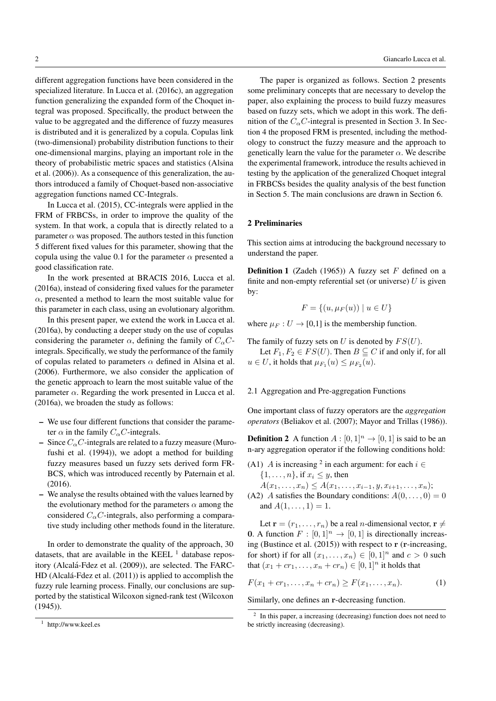different aggregation functions have been considered in the specialized literature. In Lucca et al. (2016c), an aggregation function generalizing the expanded form of the Choquet integral was proposed. Specifically, the product between the value to be aggregated and the difference of fuzzy measures is distributed and it is generalized by a copula. Copulas link (two-dimensional) probability distribution functions to their one-dimensional margins, playing an important role in the theory of probabilistic metric spaces and statistics (Alsina et al. (2006)). As a consequence of this generalization, the authors introduced a family of Choquet-based non-associative aggregation functions named CC-Integrals.

In Lucca et al. (2015), CC-integrals were applied in the FRM of FRBCSs, in order to improve the quality of the system. In that work, a copula that is directly related to a parameter  $\alpha$  was proposed. The authors tested in this function 5 different fixed values for this parameter, showing that the copula using the value 0.1 for the parameter  $\alpha$  presented a good classification rate.

In the work presented at BRACIS 2016, Lucca et al. (2016a), instead of considering fixed values for the parameter  $\alpha$ , presented a method to learn the most suitable value for this parameter in each class, using an evolutionary algorithm.

In this present paper, we extend the work in Lucca et al. (2016a), by conducting a deeper study on the use of copulas considering the parameter  $\alpha$ , defining the family of  $C_{\alpha}C$ integrals. Specifically, we study the performance of the family of copulas related to parameters  $\alpha$  defined in Alsina et al. (2006). Furthermore, we also consider the application of the genetic approach to learn the most suitable value of the parameter  $\alpha$ . Regarding the work presented in Lucca et al. (2016a), we broaden the study as follows:

- We use four different functions that consider the parameter  $\alpha$  in the family  $C_{\alpha}C$ -integrals.
- Since  $C_0C$ -integrals are related to a fuzzy measure (Murofushi et al. (1994)), we adopt a method for building fuzzy measures based un fuzzy sets derived form FR-BCS, which was introduced recently by Paternain et al. (2016).
- We analyse the results obtained with the values learned by the evolutionary method for the parameters  $\alpha$  among the considered  $C_{\alpha}C$ -integrals, also performing a comparative study including other methods found in the literature.

In order to demonstrate the quality of the approach, 30 datasets, that are available in the KEEL  $<sup>1</sup>$  database repos-</sup> itory (Alcalá-Fdez et al. (2009)), are selected. The FARC-HD (Alcalá-Fdez et al. (2011)) is applied to accomplish the fuzzy rule learning process. Finally, our conclusions are supported by the statistical Wilcoxon signed-rank test (Wilcoxon (1945)).

The paper is organized as follows. Section 2 presents some preliminary concepts that are necessary to develop the paper, also explaining the process to build fuzzy measures based on fuzzy sets, which we adopt in this work. The definition of the  $C_{\alpha}C$ -integral is presented in Section 3. In Section 4 the proposed FRM is presented, including the methodology to construct the fuzzy measure and the approach to genetically learn the value for the parameter  $\alpha$ . We describe the experimental framework, introduce the results achieved in testing by the application of the generalized Choquet integral in FRBCSs besides the quality analysis of the best function in Section 5. The main conclusions are drawn in Section 6.

#### 2 Preliminaries

This section aims at introducing the background necessary to understand the paper.

**Definition 1** (Zadeh (1965)) A fuzzy set  $F$  defined on a finite and non-empty referential set (or universe)  $U$  is given by:

$$
F = \{(u, \mu_F(u)) \mid u \in U\}
$$

where  $\mu_F : U \to [0,1]$  is the membership function.

The family of fuzzy sets on U is denoted by  $FS(U)$ .

Let  $F_1, F_2 \in FS(U)$ . Then  $B \subseteq C$  if and only if, for all  $u \in U$ , it holds that  $\mu_{F_1}(u) \leq \mu_{F_2}(u)$ .

#### 2.1 Aggregation and Pre-aggregation Functions

One important class of fuzzy operators are the *aggregation operators* (Beliakov et al. (2007); Mayor and Trillas (1986)).

**Definition 2** A function  $A : [0, 1]^n \rightarrow [0, 1]$  is said to be an n-ary aggregation operator if the following conditions hold:

- (A1) A is increasing <sup>2</sup> in each argument: for each  $i \in$  $\{1, \ldots, n\}$ , if  $x_i \leq y$ , then
- $A(x_1, \ldots, x_n) \leq A(x_1, \ldots, x_{i-1}, y, x_{i+1}, \ldots, x_n);$ (A2) A satisfies the Boundary conditions:  $A(0, \ldots, 0) = 0$ and  $A(1, \ldots, 1) = 1$ .

Let  $\mathbf{r} = (r_1, \dots, r_n)$  be a real *n*-dimensional vector,  $\mathbf{r} \neq$ **0.** A function  $F : [0, 1]^n \rightarrow [0, 1]$  is directionally increasing (Bustince et al. (2015)) with respect to r (r-increasing, for short) if for all  $(x_1, \ldots, x_n) \in [0, 1]^n$  and  $c > 0$  such that  $(x_1 + cr_1, ..., x_n + cr_n) \in [0, 1]^n$  it holds that

$$
F(x_1 + cr_1, \dots, x_n + cr_n) \ge F(x_1, \dots, x_n).
$$
 (1)

Similarly, one defines an r-decreasing function.

<sup>1</sup> http://www.keel.es

<sup>&</sup>lt;sup>2</sup> In this paper, a increasing (decreasing) function does not need to be strictly increasing (decreasing).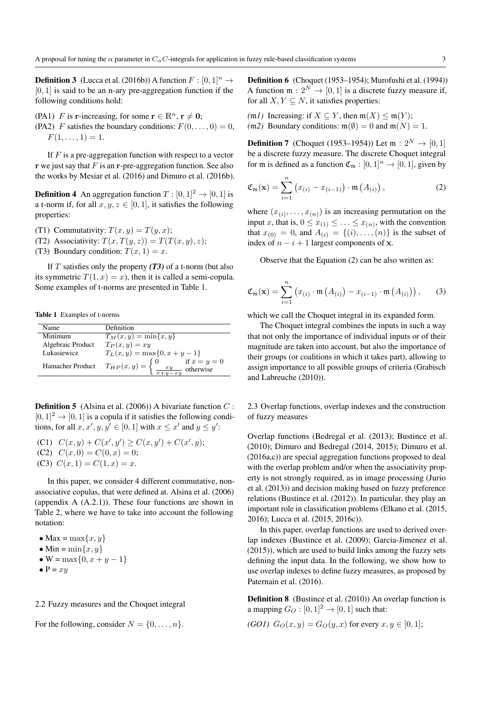**Definition 3** (Lucca et al. (2016b)) A function  $F : [0, 1]^n \rightarrow$  $[0, 1]$  is said to be an n-ary pre-aggregation function if the following conditions hold:

(PA1) F is r-increasing, for some  $r \in \mathbb{R}^n$ ,  $r \neq 0$ ; (PA2) F satisfies the boundary conditions:  $F(0, \ldots, 0) = 0$ ,  $F(1, \ldots, 1) = 1.$ 

If  $F$  is a pre-aggregation function with respect to a vector r we just say that  $F$  is an r-pre-aggregation function. See also the works by Mesiar et al. (2016) and Dimuro et al. (2016b).

**Definition 4** An aggregation function  $T : [0, 1]^2 \rightarrow [0, 1]$  is a t-norm if, for all  $x, y, z \in [0, 1]$ , it satisfies the following properties:

(T1) Commutativity:  $T(x, y) = T(y, x)$ ;

(T2) Associativity:  $T(x, T(y, z)) = T(T(x, y), z);$ (T3) Boundary condition:  $T(x, 1) = x$ .

If T satisfies only the property *(T3)* of a t-norm (but also its symmetric  $T(1, x) = x$ , then it is called a semi-copula. Some examples of t-norms are presented in Table 1.

Table 1 Examples of t-norms

| Name              | Definition                                                                                                      |
|-------------------|-----------------------------------------------------------------------------------------------------------------|
| Minimum           | $T_M(x, y) = \min\{x, y\}$                                                                                      |
| Algebraic Product | $T_P(x,y)=xy$                                                                                                   |
| Lukasiewicz       | $T_L(x, y) = \max\{0, x + y - 1\}$                                                                              |
| Hamacher Product  | $T_{HP}(x, y) = \begin{cases} 0 & \text{if } x = y = 0 \\ \frac{xy}{x + y - xy} & \text{otherwise} \end{cases}$ |

**Definition 5** (Alsina et al. (2006)) A bivariate function  $C$ :  $[0, 1]^2 \rightarrow [0, 1]$  is a copula if it satisfies the following conditions, for all  $x, x', y, y' \in [0, 1]$  with  $x \leq x'$  and  $y \leq y'$ :

\n- (C1) 
$$
C(x, y) + C(x', y') \geq C(x, y') + C(x', y);
$$
\n- (C2)  $C(x, 0) = C(0, x) = 0;$
\n- (C3)  $C(x, 1) = C(1, x) = x.$
\n

In this paper, we consider 4 different commutative, nonassociative copulas, that were defined at. Alsina et al. (2006) (appendix A (A.2.1)). These four functions are shown in Table 2, where we have to take into account the following notation:

• Max = max $\{x, y\}$ 

• Min = 
$$
\min\{x, y\}
$$

• **W** = max{0, 
$$
x + y - 1
$$
}

 $\bullet$  P =  $xy$ 

## 2.2 Fuzzy measures and the Choquet integral

For the following, consider  $N = \{0, \ldots, n\}.$ 

Definition 6 (Choquet (1953–1954); Murofushi et al. (1994)) A function  $\mathfrak{m}: 2^N \to [0,1]$  is a discrete fuzzy measure if, for all  $X, Y \subseteq N$ , it satisfies properties:

 $(mI)$  Increasing: if  $X \subseteq Y$ , then  $m(X) \le m(Y)$ ;  $(m2)$  Boundary conditions:  $m(\emptyset) = 0$  and  $m(N) = 1$ .

**Definition 7** (Choquet (1953–1954)) Let  $m: 2^N \to [0, 1]$ be a discrete fuzzy measure. The discrete Choquet integral for m is defined as a function  $\mathfrak{C}_m : [0,1]^n \to [0,1]$ , given by

$$
\mathfrak{C}_{\mathfrak{m}}(\mathbf{x}) = \sum_{i=1}^{n} \left( x_{(i)} - x_{(i-1)} \right) \cdot \mathfrak{m} \left( A_{(i)} \right), \tag{2}
$$

where  $(x_{(i)},...,x_{(n)})$  is an increasing permutation on the input x, that is,  $0 \leq x_{(1)} \leq \ldots \leq x_{(n)}$ , with the convention that  $x_{(0)} = 0$ , and  $A_{(i)} = \{(i), \ldots, (n)\}\$ is the subset of index of  $n - i + 1$  largest components of x.

Observe that the Equation (2) can be also written as:

$$
\mathfrak{C}_{\mathfrak{m}}(\mathbf{x}) = \sum_{i=1}^{n} \left( x_{(i)} \cdot \mathfrak{m}\left( A_{(i)} \right) - x_{(i-1)} \cdot \mathfrak{m}\left( A_{(i)} \right) \right), \quad (3)
$$

which we call the Choquet integral in its expanded form.

The Choquet integral combines the inputs in such a way that not only the importance of individual inputs or of their magnitude are taken into account, but also the importance of their groups (or coalitions in which it takes part), allowing to assign importance to all possible groups of criteria (Grabisch and Labreuche (2010)).

2.3 Overlap functions, overlap indexes and the construction of fuzzy measures

Overlap functions (Bedregal et al. (2013); Bustince et al. (2010); Dimuro and Bedregal (2014, 2015); Dimuro et al. (2016a,c)) are special aggregation functions proposed to deal with the overlap problem and/or when the associativity property is not strongly required, as in image processing (Jurio et al. (2013)) and decision making based on fuzzy preference relations (Bustince et al. (2012)). In particular, they play an important role in classification problems (Elkano et al. (2015, 2016); Lucca et al. (2015, 2016c)).

In this paper, overlap functions are used to derived overlap indexes (Bustince et al. (2009); Garcia-Jimenez et al. (2015)), which are used to build links among the fuzzy sets defining the input data. In the following, we show how to use overlap indexes to define fuzzy measures, as proposed by Paternain et al. (2016).

Definition 8 (Bustince et al. (2010)) An overlap function is a mapping  $G_O : [0, 1]^2 \rightarrow [0, 1]$  such that:

$$
(GO1) G_O(x, y) = G_O(y, x) \text{ for every } x, y \in [0, 1];
$$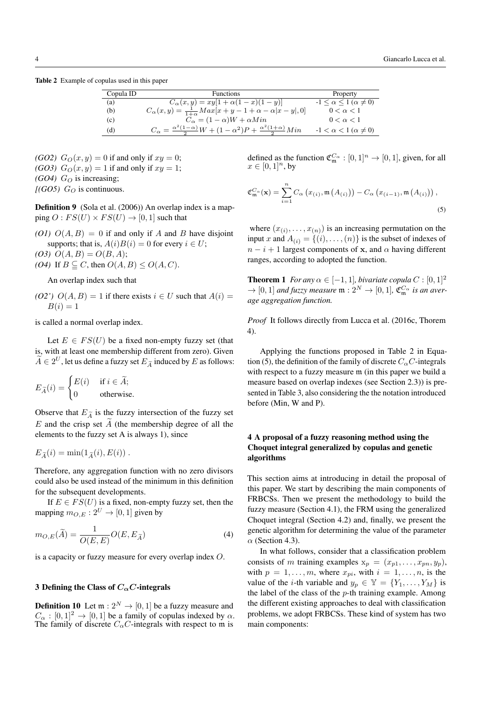Table 2 Example of copulas used in this paper

| Copula ID | <b>Functions</b>                                                                               | Property                                  |
|-----------|------------------------------------------------------------------------------------------------|-------------------------------------------|
| (a)       | $C_{\alpha}(x,y) = xy[1 + \alpha(1-x)(1-y)]$                                                   | $-1 \leq \alpha \leq 1 \ (\alpha \neq 0)$ |
| (b)       | $C_{\alpha}(x, y) = \frac{1}{1+\alpha} Max[x + y - 1 + \alpha - \alpha  x - y , 0]$            | $0 < \alpha < 1$                          |
| (c)       | $C_{\alpha} = (1 - \alpha)W + \alpha Min$                                                      | $0 < \alpha < 1$                          |
| (d)       | $C_{\alpha} = \frac{\alpha^2(1-\alpha)}{2}W + (1-\alpha^2)P + \frac{\alpha^2(1+\alpha)}{2}Min$ | $-1 < \alpha < 1 \ (\alpha \neq 0)$       |

*(GO2)*  $G_O(x, y) = 0$  if and only if  $xy = 0$ ; (*GO3*)  $G_O(x, y) = 1$  if and only if  $xy = 1$ ; *(GO4)*  $G_O$  is increasing;

 $[(GO5)$   $G_O$  is continuous.

**Definition 9** (Sola et al. (2006)) An overlap index is a mapping  $O: FS(U) \times FS(U) \rightarrow [0,1]$  such that

(O1)  $O(A, B) = 0$  if and only if A and B have disjoint supports; that is,  $A(i)B(i) = 0$  for every  $i \in U$ ; (03)  $O(A, B) = O(B, A);$ *(O4)* If  $B \subseteq C$ , then  $O(A, B) \le O(A, C)$ .

An overlap index such that

*(O2')*  $O(A, B) = 1$  if there exists  $i \in U$  such that  $A(i) =$  $B(i) = 1$ 

is called a normal overlap index.

Let  $E \in FS(U)$  be a fixed non-empty fuzzy set (that is, with at least one membership different from zero). Given  $\widetilde{A} \in 2^U$ , let us define a fuzzy set  $E_{\widetilde{A}}$  induced by  $E$  as follows:

$$
E_{\widetilde{A}}(i) = \begin{cases} E(i) & \text{if } i \in \widetilde{A}; \\ 0 & \text{otherwise.} \end{cases}
$$

Observe that  $E_{\tilde{A}}$  is the fuzzy intersection of the fuzzy set  $E$  and the crisp set  $\overline{A}$  (the membership degree of all the elements to the fuzzy set A is always 1), since

$$
E_{\widetilde{A}}(i) = \min(1_{\widetilde{A}}(i), E(i)) .
$$

Therefore, any aggregation function with no zero divisors could also be used instead of the minimum in this definition for the subsequent developments.

If  $E \in FS(U)$  is a fixed, non-empty fuzzy set, then the mapping  $m_{O,E}: 2^U \rightarrow [0,1]$  given by

$$
m_{O,E}(\widetilde{A}) = \frac{1}{O(E,E)}O(E,E_{\widetilde{A}})
$$
\n(4)

is a capacity or fuzzy measure for every overlap index O.

## 3 Defining the Class of  $C_{\alpha}C$ -integrals

**Definition 10** Let  $m: 2^N \rightarrow [0, 1]$  be a fuzzy measure and  $C_{\alpha} : [0, 1]^2 \rightarrow [0, 1]$  be a family of copulas indexed by  $\alpha$ . The family of discrete  $C_{\alpha}C$ -integrals with respect to m is

defined as the function  $\mathfrak{C}_{\mathfrak{m}}^{C_{\alpha}} : [0,1]^{n} \to [0,1]$ , given, for all  $x \in [0, 1]^n$ , by

$$
\mathfrak{C}_{\mathfrak{m}}^{C_{\alpha}}(\mathbf{x}) = \sum_{i=1}^{n} C_{\alpha} \left( x_{(i)}, \mathfrak{m} \left( A_{(i)} \right) \right) - C_{\alpha} \left( x_{(i-1)}, \mathfrak{m} \left( A_{(i)} \right) \right),
$$
\n(5)

where  $(x_{(i)},...,x_{(n)})$  is an increasing permutation on the input x and  $A(i) = \{(i), \ldots, (n)\}$  is the subset of indexes of  $n - i + 1$  largest components of x, and  $\alpha$  having different ranges, according to adopted the function.

**Theorem 1** *For any*  $\alpha \in [-1, 1]$ *, bivariate copula*  $C : [0, 1]^2$  $\rightarrow$  [0, 1] *and fuzzy measure*  $\mathfrak{m}: 2^N \rightarrow [0,1]$ ,  $\mathfrak{C}_{\mathfrak{m}}^{C_{\alpha}}$  *is an average aggregation function.*

*Proof* It follows directly from Lucca et al. (2016c, Thorem 4).

Applying the functions proposed in Table 2 in Equation (5), the definition of the family of discrete  $C_0C$ -integrals with respect to a fuzzy measure m (in this paper we build a measure based on overlap indexes (see Section 2.3)) is presented in Table 3, also considering the the notation introduced before (Min, W and P).

# 4 A proposal of a fuzzy reasoning method using the Choquet integral generalized by copulas and genetic algorithms

This section aims at introducing in detail the proposal of this paper. We start by describing the main components of FRBCSs. Then we present the methodology to build the fuzzy measure (Section 4.1), the FRM using the generalized Choquet integral (Section 4.2) and, finally, we present the genetic algorithm for determining the value of the parameter  $\alpha$  (Section 4.3).

In what follows, consider that a classification problem consists of m training examples  $x_p = (x_{p1}, \ldots, x_{pn}, y_p)$ , with  $p = 1, \ldots, m$ , where  $x_{pi}$ , with  $i = 1, \ldots, n$ , is the value of the *i*-th variable and  $y_p \in \mathbb{Y} = \{Y_1, \ldots, Y_M\}$  is the label of the class of the  $p$ -th training example. Among the different existing approaches to deal with classification problems, we adopt FRBCSs. These kind of system has two main components: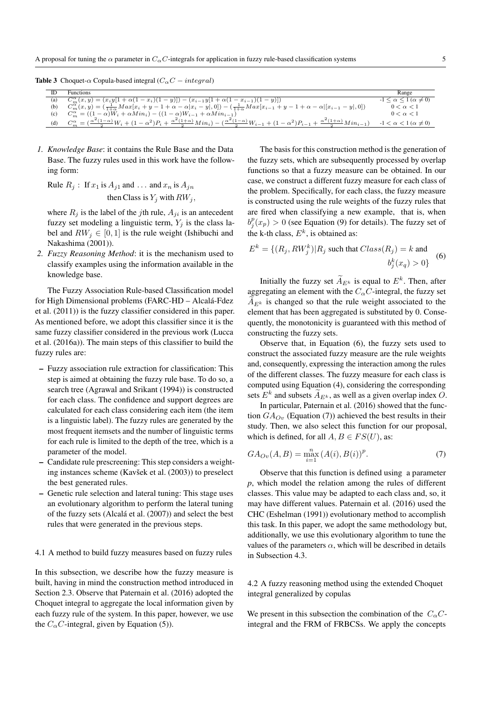**Table 3** Choquet- $\alpha$  Copula-based integral ( $C_{\alpha}C - integral$ )

|     | <b>Functions</b>                                                                                                                                                                                                                   | Range                                     |
|-----|------------------------------------------------------------------------------------------------------------------------------------------------------------------------------------------------------------------------------------|-------------------------------------------|
| (a) | $C_m^{\alpha}(x,y) = (x_i y[1 + \alpha(1-x_i)(1-y)]) - (x_{i-1} y[1 + \alpha(1-x_{i-1})(1-y)])$                                                                                                                                    | $-1 \leq \alpha \leq 1 \ (\alpha \neq 0)$ |
| (b) | $C_m^{\alpha}(x,y) = \left(\frac{1}{1+\alpha} Max[x_i + y - 1 + \alpha - \alpha   x_i - y ,0]\right) - \left(\frac{1}{1+\alpha} Max[x_{i-1} + y - 1 + \alpha - \alpha   [x_{i-1} - y ,0])\right)$                                  | $0 < \alpha < 1$                          |
| (c) | $C_m^{\alpha} = ((1 - \alpha)W_i + \alpha Min_i) - ((1 - \alpha)W_{i-1} + \alpha Min_{i-1})$                                                                                                                                       | $0 < \alpha < 1$                          |
| (d) | $C_{m}^{\alpha} = (\frac{\alpha^{2}(1-\alpha)}{2}W_{i} + (1-\alpha^{2})P_{i} + \frac{\alpha^{2}(1+\alpha)}{2}Min_{i}) - (\frac{\alpha^{2}(1-\alpha)}{2}W_{i-1} + (1-\alpha^{2})P_{i-1} + \frac{\alpha^{2}(1+\alpha)}{2}Min_{i-1})$ | $-1 < \alpha < 1 \ (\alpha \neq 0)$       |

*1. Knowledge Base*: it contains the Rule Base and the Data Base. The fuzzy rules used in this work have the following form:

Rule  $R_j$ : If  $x_1$  is  $A_{j1}$  and ... and  $x_n$  is  $A_{jn}$ then Class is  $Y_i$  with  $RW_i$ ,

where  $R_j$  is the label of the *j*th rule,  $A_{ji}$  is an antecedent fuzzy set modeling a linguistic term,  $Y_i$  is the class label and  $RW_i \in [0, 1]$  is the rule weight (Ishibuchi and Nakashima (2001)).

*2. Fuzzy Reasoning Method*: it is the mechanism used to classify examples using the information available in the knowledge base.

The Fuzzy Association Rule-based Classification model for High Dimensional problems (FARC-HD – Alcalá-Fdez et al. (2011)) is the fuzzy classifier considered in this paper. As mentioned before, we adopt this classifier since it is the same fuzzy classifier considered in the previous work (Lucca et al. (2016a)). The main steps of this classifier to build the fuzzy rules are:

- Fuzzy association rule extraction for classification: This step is aimed at obtaining the fuzzy rule base. To do so, a search tree (Agrawal and Srikant (1994)) is constructed for each class. The confidence and support degrees are calculated for each class considering each item (the item is a linguistic label). The fuzzy rules are generated by the most frequent itemsets and the number of linguistic terms for each rule is limited to the depth of the tree, which is a parameter of the model.
- Candidate rule prescreening: This step considers a weighting instances scheme (Kavšek et al. (2003)) to preselect the best generated rules.
- Genetic rule selection and lateral tuning: This stage uses an evolutionary algorithm to perform the lateral tuning of the fuzzy sets (Alcalá et al. (2007)) and select the best rules that were generated in the previous steps.

#### 4.1 A method to build fuzzy measures based on fuzzy rules

In this subsection, we describe how the fuzzy measure is built, having in mind the construction method introduced in Section 2.3. Observe that Paternain et al. (2016) adopted the Choquet integral to aggregate the local information given by each fuzzy rule of the system. In this paper, however, we use the  $C_{\alpha}C$ -integral, given by Equation (5)).

The basis for this construction method is the generation of the fuzzy sets, which are subsequently processed by overlap functions so that a fuzzy measure can be obtained. In our case, we construct a different fuzzy measure for each class of the problem. Specifically, for each class, the fuzzy measure is constructed using the rule weights of the fuzzy rules that are fired when classifying a new example, that is, when  $b_j^p(x_p) > 0$  (see Equation (9) for details). The fuzzy set of the k-th class,  $E^k$ , is obtained as:

$$
E^{k} = \{(R_j, RW_j^k)| R_j \text{ such that } Class(R_j) = k \text{ and}
$$
  

$$
b_j^k(x_q) > 0\}
$$
 (6)

Initially the fuzzy set  $\widetilde{A}_{E^k}$  is equal to  $E^k$ . Then, after aggregating an element with the  $C_{\alpha}C$ -integral, the fuzzy set  $A_{E^k}$  is changed so that the rule weight associated to the element that has been aggregated is substituted by 0. Consequently, the monotonicity is guaranteed with this method of constructing the fuzzy sets.

Observe that, in Equation (6), the fuzzy sets used to construct the associated fuzzy measure are the rule weights and, consequently, expressing the interaction among the rules of the different classes. The fuzzy measure for each class is computed using Equation (4), considering the corresponding sets  $E^k$  and subsets  $\widetilde{A}_{E^k}$ , as well as a given overlap index O.

In particular, Paternain et al. (2016) showed that the function  $GA_{Ov}$  (Equation (7)) achieved the best results in their study. Then, we also select this function for our proposal, which is defined, for all  $A, B \in FS(U)$ , as:

$$
GA_{Ov}(A, B) = \max_{i=1}^{n} (A(i), B(i))^{p}.
$$
 (7)

Observe that this function is defined using a parameter *p*, which model the relation among the rules of different classes. This value may be adapted to each class and, so, it may have different values. Paternain et al. (2016) used the CHC (Eshelman (1991)) evolutionary method to accomplish this task. In this paper, we adopt the same methodology but, additionally, we use this evolutionary algorithm to tune the values of the parameters  $\alpha$ , which will be described in details in Subsection 4.3.

4.2 A fuzzy reasoning method using the extended Choquet integral generalized by copulas

We present in this subsection the combination of the  $C_{\alpha}C$ integral and the FRM of FRBCSs. We apply the concepts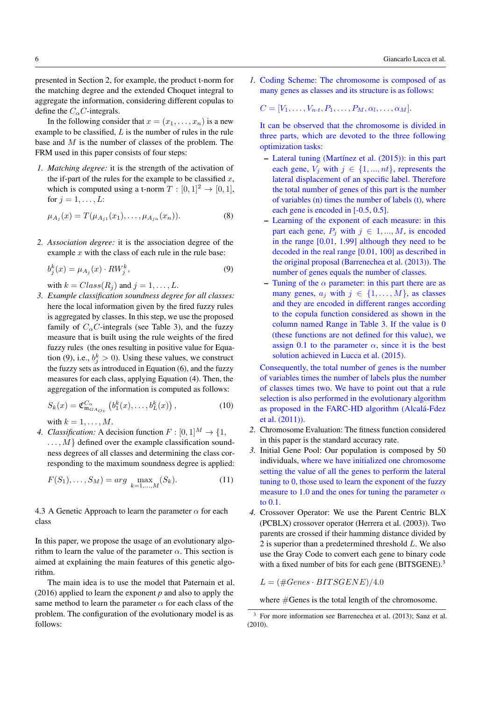presented in Section 2, for example, the product t-norm for the matching degree and the extended Choquet integral to aggregate the information, considering different copulas to define the  $C_{\alpha}C$ -integrals.

In the following consider that  $x = (x_1, \ldots, x_n)$  is a new example to be classified,  $L$  is the number of rules in the rule base and M is the number of classes of the problem. The FRM used in this paper consists of four steps:

*1. Matching degree:* it is the strength of the activation of the if-part of the rules for the example to be classified  $x$ , which is computed using a t-norm  $T : [0, 1]^2 \rightarrow [0, 1]$ , for  $j = 1, \ldots, L$ :

$$
\mu_{A_j}(x) = T(\mu_{A_{j1}}(x_1), \dots, \mu_{A_{jn}}(x_n)).
$$
\n(8)

*2. Association degree:* it is the association degree of the example  $x$  with the class of each rule in the rule base:

$$
b_j^k(x) = \mu_{A_j}(x) \cdot RW_j^k,\tag{9}
$$

with  $k = Class(R_j)$  and  $j = 1, \ldots, L$ .

*3. Example classification soundness degree for all classes:* here the local information given by the fired fuzzy rules is aggregated by classes. In this step, we use the proposed family of  $C_{\alpha}C$ -integrals (see Table 3), and the fuzzy measure that is built using the rule weights of the fired fuzzy rules (the ones resulting in positive value for Equation (9), i.e.,  $b_j^k > 0$ ). Using these values, we construct the fuzzy sets as introduced in Equation (6), and the fuzzy measures for each class, applying Equation (4). Then, the aggregation of the information is computed as follows:

$$
S_k(x) = \mathfrak{C}^{C_{\alpha}}_{\mathfrak{m}_{GA_{Ov}}}\left(b_1^k(x), \dots, b_L^k(x)\right),\tag{10}
$$

with  $k = 1, \ldots, M$ .

*4. Classification:* A decision function  $F : [0, 1]^M \rightarrow \{1, \}$  $\dots, M$  defined over the example classification soundness degrees of all classes and determining the class corresponding to the maximum soundness degree is applied:

$$
F(S_1), \dots, S_M) = \arg \max_{k=1,\dots,M} (S_k). \tag{11}
$$

4.3 A Genetic Approach to learn the parameter  $\alpha$  for each class

In this paper, we propose the usage of an evolutionary algorithm to learn the value of the parameter  $\alpha$ . This section is aimed at explaining the main features of this genetic algorithm.

The main idea is to use the model that Paternain et al. (2016) applied to learn the exponent *p* and also to apply the same method to learn the parameter  $\alpha$  for each class of the problem. The configuration of the evolutionary model is as follows:

*1.* Coding Scheme: The chromosome is composed of as many genes as classes and its structure is as follows:

$$
C=[V_1,\ldots,V_{n\cdot t},P_1,\ldots,P_M,\alpha_l,\ldots,\alpha_M].
$$

It can be observed that the chromosome is divided in three parts, which are devoted to the three following optimization tasks:

- $-$  Lateral tuning (Martínez et al. (2015)): in this part each gene,  $V_i$  with  $j \in \{1, ..., nt\}$ , represents the lateral displacement of an specific label. Therefore the total number of genes of this part is the number of variables (n) times the number of labels (t), where each gene is encoded in  $[-0.5, 0.5]$ .
- Learning of the exponent of each measure: in this part each gene,  $P_i$  with  $j \in 1, ..., M$ , is encoded in the range [0.01, 1.99] although they need to be decoded in the real range [0.01, 100] as described in the original proposal (Barrenechea et al. (2013)). The number of genes equals the number of classes.
- Tuning of the  $\alpha$  parameter: in this part there are as many genes,  $a_j$  with  $j \in \{1, ..., M\}$ , as classes and they are encoded in different ranges according to the copula function considered as shown in the column named Range in Table 3. If the value is 0 (these functions are not defined for this value), we assign 0.1 to the parameter  $\alpha$ , since it is the best solution achieved in Lucca et al. (2015).

Consequently, the total number of genes is the number of variables times the number of labels plus the number of classes times two. We have to point out that a rule selection is also performed in the evolutionary algorithm as proposed in the FARC-HD algorithm (Alcalá-Fdez et al. (2011)).

- *2.* Chromosome Evaluation: The fitness function considered in this paper is the standard accuracy rate.
- *3.* Initial Gene Pool: Our population is composed by 50 individuals, where we have initialized one chromosome setting the value of all the genes to perform the lateral tuning to 0, those used to learn the exponent of the fuzzy measure to 1.0 and the ones for tuning the parameter  $\alpha$ to 0.1.
- *4.* Crossover Operator: We use the Parent Centric BLX (PCBLX) crossover operator (Herrera et al. (2003)). Two parents are crossed if their hamming distance divided by 2 is superior than a predetermined threshold L. We also use the Gray Code to convert each gene to binary code with a fixed number of bits for each gene (BITSGENE).<sup>3</sup>

 $L = (\#Genes \cdot BITSGENE) / 4.0$ 

where  $\# \text{Genes}$  is the total length of the chromosome.

<sup>3</sup> For more information see Barrenechea et al. (2013); Sanz et al. (2010).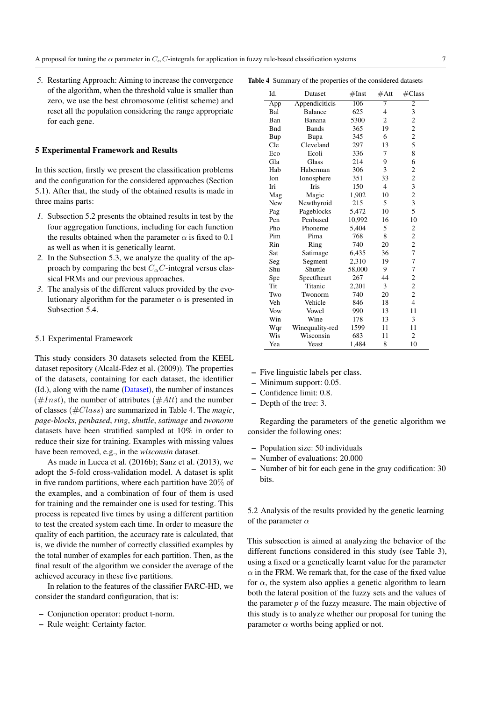*5.* Restarting Approach: Aiming to increase the convergence of the algorithm, when the threshold value is smaller than zero, we use the best chromosome (elitist scheme) and reset all the population considering the range appropriate for each gene.

#### 5 Experimental Framework and Results

In this section, firstly we present the classification problems and the configuration for the considered approaches (Section 5.1). After that, the study of the obtained results is made in three mains parts:

- *1.* Subsection 5.2 presents the obtained results in test by the four aggregation functions, including for each function the results obtained when the parameter  $\alpha$  is fixed to 0.1 as well as when it is genetically learnt.
- *2.* In the Subsection 5.3, we analyze the quality of the approach by comparing the best  $C_{\alpha}C$ -integral versus classical FRMs and our previous approaches.
- *3.* The analysis of the different values provided by the evolutionary algorithm for the parameter  $\alpha$  is presented in Subsection 5.4.

#### 5.1 Experimental Framework

This study considers 30 datasets selected from the KEEL dataset repository (Alcalá-Fdez et al. (2009)). The properties of the datasets, containing for each dataset, the identifier (Id.), along with the name (Dataset), the number of instances  $(\#Inst)$ , the number of attributes  $(\#Att)$  and the number of classes (#Class) are summarized in Table 4. The *magic*, *page-blocks*, *penbased*, *ring*, *shuttle*, *satimage* and *twonorm* datasets have been stratified sampled at 10% in order to reduce their size for training. Examples with missing values have been removed, e.g., in the *wisconsin* dataset.

As made in Lucca et al. (2016b); Sanz et al. (2013), we adopt the 5-fold cross-validation model. A dataset is split in five random partitions, where each partition have 20% of the examples, and a combination of four of them is used for training and the remainder one is used for testing. This process is repeated five times by using a different partition to test the created system each time. In order to measure the quality of each partition, the accuracy rate is calculated, that is, we divide the number of correctly classified examples by the total number of examples for each partition. Then, as the final result of the algorithm we consider the average of the achieved accuracy in these five partitions.

In relation to the features of the classifier FARC-HD, we consider the standard configuration, that is:

- Conjunction operator: product t-norm.
- Rule weight: Certainty factor.

Table 4 Summary of the properties of the considered datasets

| Id.        | Dataset         | #Inst  | #Att                     | $\# \overline{\text{Class}}$ |
|------------|-----------------|--------|--------------------------|------------------------------|
| App        | Appendiciticis  | 106    | 7                        | 2                            |
| Bal        | <b>Balance</b>  | 625    | $\overline{\mathcal{L}}$ | 3                            |
| Ban        | Banana          | 5300   | $\overline{c}$           | $\overline{c}$               |
| <b>Bnd</b> | Bands           | 365    | 19                       | $\overline{c}$               |
| Bup        | Bupa            | 345    | 6                        | $\overline{c}$               |
| Cle        | Cleveland       | 297    | 13                       | 5                            |
| Eco        | Ecoli           | 336    | 7                        | 8                            |
| Gla        | Glass           | 214    | 9                        | 6                            |
| Hab        | Haberman        | 306    | 3                        | $\overline{c}$               |
| Ion        | Ionosphere      | 351    | 33                       | $\overline{c}$               |
| Iri        | Iris            | 150    | $\overline{4}$           | 3                            |
| Mag        | Magic           | 1,902  | 10                       | $\overline{c}$               |
| New        | Newthyroid      | 215    | 5                        | 3                            |
| Pag        | Pageblocks      | 5,472  | 10                       | 5                            |
| Pen        | Penbased        | 10,992 | 16                       | 10                           |
| Pho        | Phoneme         | 5,404  | 5                        | $\overline{c}$               |
| Pim        | Pima            | 768    | 8                        | $\overline{c}$               |
| Rin        | Ring            | 740    | 20                       | $\overline{c}$               |
| Sat        | Satimage        | 6,435  | 36                       | 7                            |
| Seg        | Segment         | 2,310  | 19                       | 7                            |
| Shu        | Shuttle         | 58,000 | 9                        | 7                            |
| Spe        | Spectfheart     | 267    | 44                       | $\overline{c}$               |
| Tit        | Titanic         | 2,201  | 3                        | $\overline{c}$               |
| Two        | Twonorm         | 740    | 20                       | $\overline{c}$               |
| Veh        | Vehicle         | 846    | 18                       | $\overline{4}$               |
| Vow        | Vowel           | 990    | 13                       | 11                           |
| Win        | Wine            | 178    | 13                       | 3                            |
| Wqr        | Winequality-red | 1599   | 11                       | 11                           |
| Wis        | Wisconsin       | 683    | 11                       | $\overline{c}$               |
| Yea        | Yeast           | 1,484  | 8                        | 10                           |

– Five linguistic labels per class.

- Minimum support: 0.05.
- Confidence limit: 0.8.
- Depth of the tree: 3.

Regarding the parameters of the genetic algorithm we consider the following ones:

- Population size: 50 individuals
- Number of evaluations: 20.000
- Number of bit for each gene in the gray codification: 30 bits.

5.2 Analysis of the results provided by the genetic learning of the parameter  $\alpha$ 

This subsection is aimed at analyzing the behavior of the different functions considered in this study (see Table 3), using a fixed or a genetically learnt value for the parameter  $\alpha$  in the FRM. We remark that, for the case of the fixed value for  $\alpha$ , the system also applies a genetic algorithm to learn both the lateral position of the fuzzy sets and the values of the parameter *p* of the fuzzy measure. The main objective of this study is to analyze whether our proposal for tuning the parameter  $\alpha$  worths being applied or not.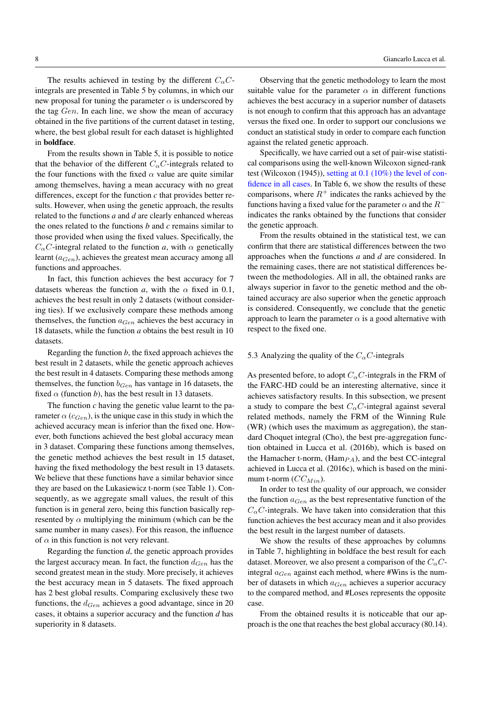The results achieved in testing by the different  $C_{\alpha}C$ integrals are presented in Table 5 by columns, in which our new proposal for tuning the parameter  $\alpha$  is underscored by the tag Gen. In each line, we show the mean of accuracy obtained in the five partitions of the current dataset in testing, where, the best global result for each dataset is highlighted in boldface.

From the results shown in Table 5, it is possible to notice that the behavior of the different  $C_{\alpha}C$ -integrals related to the four functions with the fixed  $\alpha$  value are quite similar among themselves, having a mean accuracy with no great differences, except for the function *c* that provides better results. However, when using the genetic approach, the results related to the functions *a* and *d* are clearly enhanced whereas the ones related to the functions *b* and *c* remains similar to those provided when using the fixed values. Specifically, the  $C_{\alpha}C$ -integral related to the function *a*, with  $\alpha$  genetically learnt  $(a_{Gen})$ , achieves the greatest mean accuracy among all functions and approaches.

In fact, this function achieves the best accuracy for 7 datasets whereas the function *a*, with the  $\alpha$  fixed in 0.1, achieves the best result in only 2 datasets (without considering ties). If we exclusively compare these methods among themselves, the function  $a_{Gen}$  achieves the best accuracy in 18 datasets, while the function *a* obtains the best result in 10 datasets.

Regarding the function *b*, the fixed approach achieves the best result in 2 datasets, while the genetic approach achieves the best result in 4 datasets. Comparing these methods among themselves, the function  $b_{Gen}$  has vantage in 16 datasets, the fixed  $\alpha$  (function *b*), has the best result in 13 datasets.

The function *c* having the genetic value learnt to the parameter  $\alpha$  ( $c_{Gen}$ ), is the unique case in this study in which the achieved accuracy mean is inferior than the fixed one. However, both functions achieved the best global accuracy mean in 3 dataset. Comparing these functions among themselves, the genetic method achieves the best result in 15 dataset, having the fixed methodology the best result in 13 datasets. We believe that these functions have a similar behavior since they are based on the Lukasiewicz t-norm (see Table 1). Consequently, as we aggregate small values, the result of this function is in general zero, being this function basically represented by  $\alpha$  multiplying the minimum (which can be the same number in many cases). For this reason, the influence of  $\alpha$  in this function is not very relevant.

Regarding the function *d*, the genetic approach provides the largest accuracy mean. In fact, the function  $d_{Gen}$  has the second greatest mean in the study. More precisely, it achieves the best accuracy mean in 5 datasets. The fixed approach has 2 best global results. Comparing exclusively these two functions, the  $d_{Gen}$  achieves a good advantage, since in 20 cases, it obtains a superior accuracy and the function *d* has superiority in 8 datasets.

Observing that the genetic methodology to learn the most suitable value for the parameter  $\alpha$  in different functions achieves the best accuracy in a superior number of datasets is not enough to confirm that this approach has an advantage versus the fixed one. In order to support our conclusions we conduct an statistical study in order to compare each function against the related genetic approach.

Specifically, we have carried out a set of pair-wise statistical comparisons using the well-known Wilcoxon signed-rank test (Wilcoxon (1945)), setting at 0.1 (10%) the level of confidence in all cases. In Table 6, we show the results of these comparisons, where  $R^+$  indicates the ranks achieved by the functions having a fixed value for the parameter  $\alpha$  and the  $R^$ indicates the ranks obtained by the functions that consider the genetic approach.

From the results obtained in the statistical test, we can confirm that there are statistical differences between the two approaches when the functions *a* and *d* are considered. In the remaining cases, there are not statistical differences between the methodologies. All in all, the obtained ranks are always superior in favor to the genetic method and the obtained accuracy are also superior when the genetic approach is considered. Consequently, we conclude that the genetic approach to learn the parameter  $\alpha$  is a good alternative with respect to the fixed one.

# 5.3 Analyzing the quality of the  $C_{\alpha}C$ -integrals

As presented before, to adopt  $C_{\alpha}C$ -integrals in the FRM of the FARC-HD could be an interesting alternative, since it achieves satisfactory results. In this subsection, we present a study to compare the best  $C_{\alpha}C$ -integral against several related methods, namely the FRM of the Winning Rule (WR) (which uses the maximum as aggregation), the standard Choquet integral (Cho), the best pre-aggregation function obtained in Lucca et al. (2016b), which is based on the Hamacher t-norm,  $(Ham_{PA})$ , and the best CC-integral achieved in Lucca et al. (2016c), which is based on the minimum t-norm  $(CC_{Min})$ .

In order to test the quality of our approach, we consider the function  $a_{Gen}$  as the best representative function of the  $C_{\alpha}$ C-integrals. We have taken into consideration that this function achieves the best accuracy mean and it also provides the best result in the largest number of datasets.

We show the results of these approaches by columns in Table 7, highlighting in boldface the best result for each dataset. Moreover, we also present a comparison of the  $C_{\alpha}C$ integral  $a_{Gen}$  against each method, where #Wins is the number of datasets in which  $a_{Gen}$  achieves a superior accuracy to the compared method, and #Loses represents the opposite case.

From the obtained results it is noticeable that our approach is the one that reaches the best global accuracy (80.14).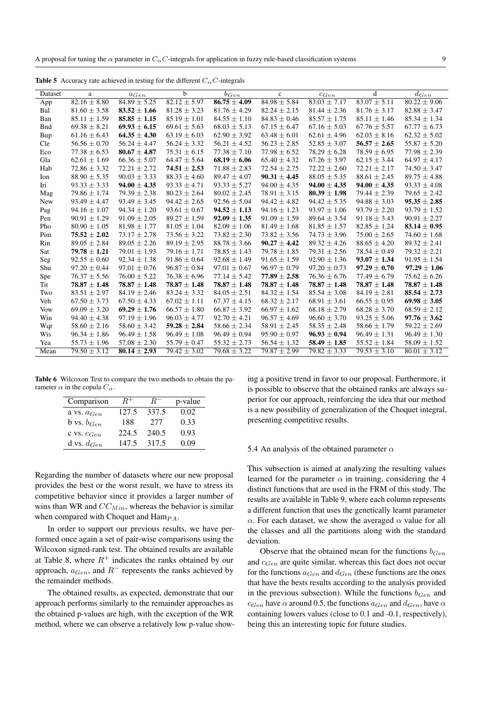| Dataset     | a                | $a_{Gen}$        | b                | $b_{Gen}$        | $\mathbf{c}$     | $c_{Gen}$                   | d                | $d_{Gen}$        |
|-------------|------------------|------------------|------------------|------------------|------------------|-----------------------------|------------------|------------------|
| App         | $82.16 \pm 8.80$ | $84.89 \pm 5.25$ | $82.12 \pm 5.97$ | $86.75 \pm 4.09$ | $84.98 \pm 5.84$ | $83.03 \pm 7.17$            | $83.07 \pm 5.11$ | $80.22 \pm 9.06$ |
| Bal         | $81.60 \pm 3.58$ | $83.52 \pm 1.66$ | $81.28 \pm 3.23$ | $81.76 \pm 4.29$ | $82.24 \pm 2.15$ | $81.44 \pm 2.36$            | $81.76 \pm 3.17$ | $82.88 \pm 3.47$ |
| Ban         | $85.11 \pm 1.59$ | $85.85 \pm 1.15$ | $85.19 \pm 1.01$ | $84.55 \pm 1.10$ | $84.83 \pm 0.46$ | $85.57 \pm 1.75$            | $85.11 \pm 1.46$ | $85.34 \pm 1.34$ |
| <b>B</b> nd | $69.38 \pm 8.21$ | $69.93 \pm 6.15$ | $69.61 \pm 5.63$ | $68.03 \pm 5.13$ | $67.15 \pm 6.47$ | $67.16 \pm 5.03$            | $67.76 \pm 5.57$ | $67.77 \pm 6.73$ |
| Bup         | $61.16 \pm 6.43$ | $64.35 \pm 4.30$ | $63.19 \pm 6.03$ | $62.90 \pm 3.92$ | $63.48 \pm 6.01$ | $62.61 \pm 4.96$            | $62.03 \pm 8.16$ | $62.32 \pm 5.02$ |
| Cle         | $56.56 \pm 0.70$ | $56.24 \pm 4.47$ | $56.24 \pm 3.32$ | $56.21 \pm 4.52$ | $56.23 \pm 2.85$ | $52.85 \pm 3.07$            | $56.57 \pm 2.65$ | $55.87 \pm 5.20$ |
| Eco         | $77.38 \pm 6.53$ | $80.67 \pm 4.87$ | $75.31 \pm 6.15$ | $77.38 \pm 7.10$ | $77.98 \pm 6.52$ | $78.29 \pm 6.28$            | $78.59 \pm 6.95$ | $77.98 \pm 2.39$ |
| Gla         | $62.61 \pm 1.69$ | $66.36 \pm 5.07$ | $64.47 \pm 5.64$ | $68.19 \pm 6.06$ | $65.40 \pm 4.32$ | $67.26 \pm 3.97$            | $62.15 \pm 3.44$ | $64.97 \pm 4.17$ |
| Hab         | $72.86 \pm 3.32$ | $72.21 \pm 2.72$ | $74.51 \pm 2.53$ | $71.88 \pm 2.83$ | $72.54 \pm 2.75$ | $72.22 \pm 2.60$            | $72.21 \pm 2.17$ | $74.50 \pm 3.47$ |
| Ion         | $88.90 \pm 5.35$ | $90.03 \pm 3.33$ | $88.33 \pm 4.60$ | $89.47 \pm 4.07$ | $90.31 \pm 4.45$ | $88.05 \pm 5.35$            | $88.61 \pm 2.45$ | $89.75 \pm 4.88$ |
| Iri         | $93.33 \pm 3.33$ | $94.00 \pm 4.35$ | $93.33 \pm 4.71$ | $93.33 \pm 5.27$ | $94.00 \pm 4.35$ | $94.00 \pm 4.35$            | $94.00 \pm 4.35$ | $93.33 \pm 4.08$ |
| Mag         | $79.86 \pm 1.74$ | $79.39 \pm 2.38$ | $80.23 \pm 2.64$ | $80.02 \pm 2.45$ | $78.91 \pm 3.15$ | $80.39 \pm 1.98$            | $79.44 \pm 2.39$ | $79.65 \pm 2.42$ |
| New         | $93.49 \pm 4.47$ | $93.49 \pm 3.45$ | $94.42 \pm 2.65$ | $92.56 \pm 5.04$ | $94.42 \pm 4.82$ | $94.42 \pm 5.35$            | $94.88 \pm 3.03$ | $95.35 \pm 2.85$ |
| Pag         | $94.16 \pm 1.07$ | $94.34 \pm 1.20$ | $93.61 \pm 0.67$ | $94.52 \pm 1.13$ | $94.16 \pm 1.23$ | $93.97 \pm 1.06$            | $93.79 \pm 2.20$ | $93.79 \pm 1.52$ |
| Pen         | $90.91 \pm 1.29$ | $91.09 \pm 2.05$ | $89.27 \pm 1.59$ | $92.09 \pm 1.35$ | $91.09 \pm 1.59$ | $89.64 \pm 3.54$            | $91.18 \pm 3.43$ | $90.91 \pm 2.27$ |
| Pho         | $80.90 \pm 1.05$ | $81.98 \pm 1.77$ | $81.05 \pm 1.04$ | $82.09 \pm 1.06$ | $81.49 \pm 1.68$ | $81.85 \pm 1.57$            | $82.85 \pm 1.24$ | $83.14 \pm 0.95$ |
| Pim         | $75.52 \pm 2.02$ | $73.17 \pm 2.78$ | $73.56 \pm 3.22$ | $73.82 \pm 2.30$ | $73.82 \pm 3.56$ | $74.73 \pm 3.96$            | $75.00 \pm 2.65$ | $74.60 \pm 1.68$ |
| Rin         | $89.05 \pm 2.84$ | $89.05 \pm 2.26$ | $89.19 \pm 2.95$ | $88.78 \pm 3.66$ | $90.27 \pm 4.42$ | $89.32 \pm 4.26$            | $88.65 \pm 4.20$ | $89.32 \pm 2.41$ |
| Sat         | $79.78 \pm 1.21$ | $79.01 \pm 1.93$ | $79.16 \pm 1.71$ | $78.85 \pm 1.43$ | $79.78 \pm 1.85$ | $79.31 \pm 2.56$            | $78.54 \pm 0.49$ | $79.32 \pm 2.21$ |
| Seg         | $92.55 \pm 0.60$ | $92.34 \pm 1.38$ | $91.86 \pm 0.64$ | $92.68 \pm 1.49$ | $91.65 \pm 1.59$ | $92.90 \pm 1.36$            | $93.07 \pm 1.34$ | $91.95 \pm 1.54$ |
| Shu         | $97.20 \pm 0.44$ | $97.01 \pm 0.76$ | $96.87 \pm 0.84$ | $97.01 \pm 0.67$ | $96.97 \pm 0.79$ | $97.20 \pm 0.73$            | $97.29 \pm 0.70$ | $97.29 \pm 1.06$ |
| Spe         | $76.37 \pm 5.56$ | $76.00 \pm 5.22$ | $76.38 \pm 6.96$ | $77.14 \pm 5.42$ | $77.89 \pm 2.58$ | $76.36 \pm 6.76$            | $77.49 \pm 6.79$ | $75.62 \pm 6.26$ |
| Tit         | $78.87 \pm 1.48$ | $78.87 \pm 1.48$ | $78.87 \pm 1.48$ | $78.87 \pm 1.48$ | $78.87 \pm 1.48$ | $78.87 \pm 1.48$            | $78.87 \pm 1.48$ | $78.87 \pm 1.48$ |
| Two         | $83.51 \pm 2.97$ | $84.19 \pm 2.46$ | $83.24 \pm 3.32$ | $84.05 \pm 2.51$ | $84.32 \pm 1.54$ | $85.54 \pm 3.08$            | $84.19 \pm 2.81$ | $85.54 \pm 2.73$ |
| Veh         | $67.50 \pm 3.73$ | $67.50 \pm 4.33$ | $67.02 \pm 1.11$ | $67.37 \pm 4.15$ | $68.32 \pm 2.17$ | $68.91 \pm 3.61$            | $66.55 \pm 0.95$ | $69.98 \pm 3.05$ |
| <b>Vow</b>  | $69.09 \pm 3.20$ | $69.29 \pm 1.76$ | $66.57 \pm 1.80$ | $66.87 \pm 3.92$ | $66.97 \pm 1.62$ | $68.18 \pm 2.79$            | $68.28 \pm 3.70$ | $68.59 \pm 2.12$ |
| Win         | $94.40 \pm 4.38$ | $97.19 \pm 1.96$ | $96.03 \pm 4.77$ | $92.70 \pm 4.21$ | $96.57 \pm 4.69$ | $96.60 \pm 3.70$            | $93.25 \pm 5.06$ | $97.76 \pm 3.62$ |
| Wqr         | $58.60 \pm 2.16$ | $58.60 \pm 3.42$ | $59.28 \pm 2.84$ | $58.66 \pm 2.34$ | $58.91 \pm 2.45$ | $58.35 \pm 2.48$            | $58.66 \pm 1.79$ | $59.22 \pm 2.69$ |
| Wis         | $96.34 \pm 1.86$ | $96.49 \pm 1.58$ | $96.49 \pm 1.08$ | $96.49 \pm 0.94$ | $95.90 \pm 0.97$ | $96.93 \pm 0.94$            | $96.49 \pm 1.31$ | $96.49 \pm 1.30$ |
| Yea         | $55.73 \pm 1.96$ | $57.08 \pm 2.30$ | $55.79 \pm 0.47$ | $55.32 \pm 2.73$ | $56.54 \pm 1.32$ | $58.49 \pm 1.85$            | $55.52 \pm 1.84$ | $58.09 \pm 1.52$ |
| Mean        | $79.50 \pm 3.12$ | $80.14 \pm 2.93$ | $79.42 \pm 3.02$ | $79.68 \pm 3.22$ | $79.87 \pm 2.99$ | $\overline{79.82} \pm 3.33$ | $79.53 \pm 3.10$ | $80.01 \pm 3.12$ |

**Table 5** Accuracy rate achieved in testing for the different  $C_{\alpha}C$ -integrals

Table 6 Wilcoxon Test to compare the two methods to obtain the parameter  $\alpha$  in the copula  $C_{\alpha}$ .

| Comparison             |       | RT    | p-value |
|------------------------|-------|-------|---------|
| a vs. $a_{Gen}$        | 127.5 | 337.5 | 0.02    |
| <b>b</b> vs. $b_{Gen}$ | 188   | 277   | 0.33    |
| $CVS.$ $C_{Gen}$       | 224.5 | 240.5 | 0.93    |
| d vs. $d_{Gen}$        | 147.5 | 317.5 | () ()9  |

Regarding the number of datasets where our new proposal provides the best or the worst result, we have to stress its competitive behavior since it provides a larger number of wins than WR and  $CC_{Min}$ , whereas the behavior is similar when compared with Choquet and  $\text{Ham}_{PA}$ .

In order to support our previous results, we have performed once again a set of pair-wise comparisons using the Wilcoxon signed-rank test. The obtained results are available at Table 8, where  $R^+$  indicates the ranks obtained by our approach,  $a_{Gen}$ , and  $R^-$  represents the ranks achieved by the remainder methods.

The obtained results, as expected, demonstrate that our approach performs similarly to the remainder approaches as the obtained p-values are high, with the exception of the WR method, where we can observe a relatively low p-value showing a positive trend in favor to our proposal. Furthermore, it is possible to observe that the obtained ranks are always superior for our approach, reinforcing the idea that our method is a new possibility of generalization of the Choquet integral, presenting competitive results.

#### 5.4 An analysis of the obtained parameter  $\alpha$

This subsection is aimed at analyzing the resulting values learned for the parameter  $\alpha$  in training, considering the 4 distinct functions that are used in the FRM of this study. The results are available in Table 9, where each column represents a different function that uses the genetically learnt parameter  $\alpha$ . For each dataset, we show the averaged  $\alpha$  value for all the classes and all the partitions along with the standard deviation.

Observe that the obtained mean for the functions  $b_{Gen}$ and  $c_{Gen}$  are quite similar, whereas this fact does not occur for the functions  $a_{Gen}$  and  $d_{Gen}$  (these functions are the ones that have the bests results according to the analysis provided in the previous subsection). While the functions  $b_{Gen}$  and  $c_{Gen}$  have  $\alpha$  around 0.5, the functions  $a_{Gen}$  and  $d_{Gen}$ , have  $\alpha$ containing lowers values (close to 0.1 and -0.1, respectively), being this an interesting topic for future studies.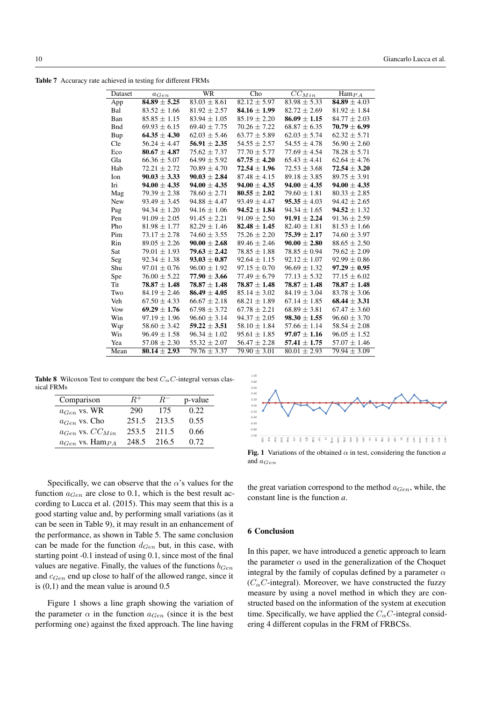Table 7 Accuracy rate achieved in testing for different FRMs

| Dataset    | $a_{Gen}$        | WR               | Cho              | $\overline{CC}_{Min}$ | $\text{Ham}_{PA}$       |
|------------|------------------|------------------|------------------|-----------------------|-------------------------|
| App        | $84.89 \pm 5.25$ | $83.03 \pm 8.61$ | $82.12 \pm 5.97$ | $83.98 \pm 5.33$      | $\sqrt{84.89 \pm 4.03}$ |
| Bal        | $83.52 \pm 1.66$ | $81.92 \pm 2.57$ | $84.16 \pm 1.99$ | $82.72 \pm 2.69$      | $81.92 \pm 1.84$        |
| Ban        | $85.85 \pm 1.15$ | $83.94 \pm 1.05$ | $85.19 \pm 2.20$ | $86.09 \pm 1.15$      | $84.77 \pm 2.03$        |
| <b>Bnd</b> | $69.93 \pm 6.15$ | $69.40 \pm 7.75$ | $70.26 \pm 7.22$ | $68.87 \pm 6.35$      | $70.79 \pm 6.99$        |
| Bup        | $64.35 \pm 4.30$ | $62.03 \pm 5.46$ | $63.77 \pm 5.89$ | $62.03 \pm 5.74$      | $62.32 \pm 5.71$        |
| Cle        | $56.24 \pm 4.47$ | $56.91 \pm 2.35$ | $54.55 \pm 2.57$ | $54.55 \pm 4.78$      | $56.90 \pm 2.60$        |
| Eco        | $80.67 \pm 4.87$ | $75.62 \pm 7.37$ | $77.70 \pm 5.77$ | $77.69 \pm 4.54$      | $78.28 \pm 5.71$        |
| Gla        | $66.36 \pm 5.07$ | $64.99 \pm 5.92$ | $67.75 \pm 4.20$ | $65.43 \pm 4.41$      | $62.64 \pm 4.76$        |
| Hab        | $72.21 \pm 2.72$ | $70.89 \pm 4.70$ | $72.54 \pm 1.96$ | $72.53 \pm 3.68$      | $72.54 \pm 3.20$        |
| Ion        | $90.03 \pm 3.33$ | $90.03 \pm 2.84$ | $87.48 \pm 4.15$ | $89.18 \pm 3.85$      | $89.75 \pm 3.91$        |
| Iri        | $94.00 \pm 4.35$ | $94.00 \pm 4.35$ | $94.00 \pm 4.35$ | $94.00 \pm 4.35$      | $94.00 \pm 4.35$        |
| Mag        | $79.39 \pm 2.38$ | $78.60 \pm 2.71$ | $80.55 \pm 2.02$ | $79.60 \pm 1.81$      | $80.33 \pm 2.85$        |
| <b>New</b> | $93.49 \pm 3.45$ | $94.88 \pm 4.47$ | $93.49 \pm 4.47$ | $95.35 \pm 4.03$      | $94.42 \pm 2.65$        |
| Pag        | $94.34 \pm 1.20$ | $94.16 \pm 1.06$ | $94.52 \pm 1.84$ | $94.34 \pm 1.65$      | $94.52 \pm 1.32$        |
| Pen        | $91.09 \pm 2.05$ | $91.45 \pm 2.21$ | $91.09 \pm 2.50$ | $91.91 \pm 2.24$      | $91.36 \pm 2.59$        |
| Pho        | $81.98 \pm 1.77$ | $82.29 \pm 1.46$ | $82.48 \pm 1.45$ | $82.40 \pm 1.81$      | $81.53 \pm 1.66$        |
| Pim        | $73.17 \pm 2.78$ | $74.60 \pm 3.55$ | $75.26 \pm 2.20$ | $75.39 \pm 2.17$      | $74.60 \pm 3.97$        |
| Rin        | $89.05 \pm 2.26$ | $90.00 \pm 2.68$ | $89.46 \pm 2.46$ | $90.00 \pm 2.80$      | $88.65 \pm 2.50$        |
| Sat        | $79.01 \pm 1.93$ | $79.63 \pm 2.42$ | $78.85 \pm 1.88$ | $78.85 \pm 0.94$      | $79.62 \pm 2.09$        |
| Seg        | $92.34 \pm 1.38$ | $93.03 \pm 0.87$ | $92.64 \pm 1.15$ | $92.12 \pm 1.07$      | $92.99 \pm 0.86$        |
| Shu        | $97.01 \pm 0.76$ | $96.00 \pm 1.92$ | $97.15 \pm 0.70$ | $96.69 \pm 1.32$      | $97.29 \pm 0.95$        |
| Spe        | $76.00 \pm 5.22$ | $77.90 \pm 3.66$ | $77.49 \pm 6.79$ | $77.13 \pm 5.32$      | $77.15 \pm 6.02$        |
| Tit        | $78.87 \pm 1.48$ | $78.87 \pm 1.48$ | $78.87 \pm 1.48$ | $78.87 \pm 1.48$      | $78.87 \pm 1.48$        |
| Two        | $84.19 \pm 2.46$ | $86.49 \pm 4.05$ | $85.14 \pm 3.02$ | $84.19 \pm 3.04$      | $83.78 \pm 3.06$        |
| Veh        | $67.50 \pm 4.33$ | $66.67 \pm 2.18$ | $68.21 \pm 1.89$ | $67.14 \pm 1.85$      | $68.44 \pm 3.31$        |
| Vow        | $69.29 \pm 1.76$ | $67.98 \pm 3.72$ | $67.78 \pm 2.21$ | $68.89 \pm 3.81$      | $67.47 \pm 3.60$        |
| Win        | $97.19 \pm 1.96$ | $96.60 \pm 3.14$ | $94.37 \pm 2.05$ | $98.30 \pm 1.55$      | $96.60 \pm 3.70$        |
| Wqr        | $58.60 \pm 3.42$ | $59.22 \pm 3.51$ | $58.10 \pm 1.84$ | $57.66 \pm 1.14$      | $58.54 \pm 2.08$        |
| Wis        | $96.49 \pm 1.58$ | $96.34 \pm 1.02$ | $95.61 \pm 1.85$ | $97.07 \pm 1.16$      | $96.05 \pm 1.52$        |
| Yea        | $57.08 \pm 2.30$ | $55.32 \pm 2.07$ | $56.47 \pm 2.28$ | $57.41 \pm 1.75$      | $57.07 \pm 1.46$        |
| Mean       | $80.14 \pm 2.93$ | $79.76 \pm 3.37$ | $79.90 \pm 3.01$ | $80.01 \pm 2.93$      | $79.94 \pm 3.09$        |

**Table 8** Wilcoxon Test to compare the best  $C_{\alpha}C$ -integral versus classical FRMs

| Comparison                | $R^+$ | $R^-$ | p-value |
|---------------------------|-------|-------|---------|
| $a_{Gen}$ vs. WR          | 290   | 175   | 0.22.   |
| $a_{Gen}$ vs. Cho         | 251.5 | 213.5 | 0.55    |
| $a_{Gen}$ vs. $CC_{Min}$  | 253.5 | 211.5 | 0.66    |
| $a_{Gen}$ vs. Ham $_{PA}$ | 248.5 | 216.5 | 0.72    |



Fig. 1 Variations of the obtained  $\alpha$  in test, considering the function *a* and  $a_{Gen}$ 

Specifically, we can observe that the  $\alpha$ 's values for the function  $a_{Gen}$  are close to 0.1, which is the best result according to Lucca et al. (2015). This may seem that this is a good starting value and, by performing small variations (as it can be seen in Table 9), it may result in an enhancement of the performance, as shown in Table 5. The same conclusion can be made for the function  $d_{Gen}$  but, in this case, with starting point -0.1 instead of using 0.1, since most of the final values are negative. Finally, the values of the functions  $b_{Gen}$ and  $c_{Gen}$  end up close to half of the allowed range, since it is  $(0,1)$  and the mean value is around  $0.5$ 

Figure 1 shows a line graph showing the variation of the parameter  $\alpha$  in the function  $a_{Gen}$  (since it is the best performing one) against the fixed approach. The line having

the great variation correspond to the method  $a_{Gen}$ , while, the constant line is the function *a*.

# 6 Conclusion

In this paper, we have introduced a genetic approach to learn the parameter  $\alpha$  used in the generalization of the Choquet integral by the family of copulas defined by a parameter  $\alpha$  $(C_{\alpha}C$ -integral). Moreover, we have constructed the fuzzy measure by using a novel method in which they are constructed based on the information of the system at execution time. Specifically, we have applied the  $C_{\alpha}C$ -integral considering 4 different copulas in the FRM of FRBCSs.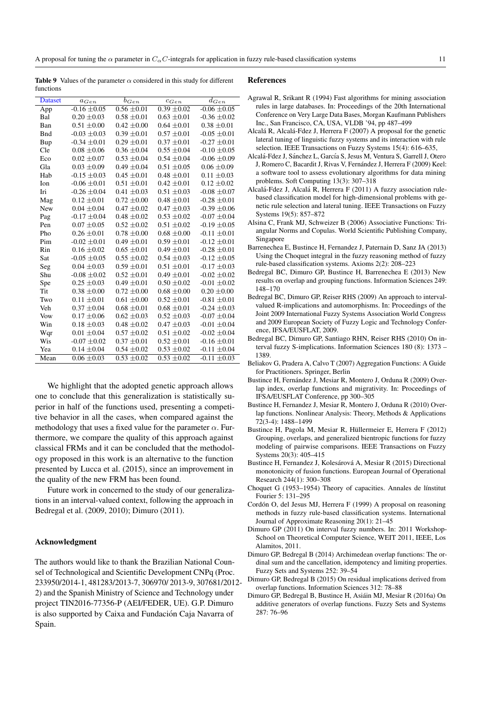A proposal for tuning the  $\alpha$  parameter in  $C_{\alpha}$ C-integrals for application in fuzzy rule-based classification systems 11

Table 9 Values of the parameter  $\alpha$  considered in this study for different functions

| <b>Dataset</b> | $a_{Gen}$        | $b_{Gen}$       | $c_{Gen}$       | $d_{Gen}$        |
|----------------|------------------|-----------------|-----------------|------------------|
| App            | $-0.16 \pm 0.05$ | $0.56 \pm 0.01$ | $0.39 \pm 0.02$ | $-0.06 \pm 0.05$ |
| Bal            | $0.20 \pm 0.03$  | $0.58 \pm 0.01$ | $0.63 \pm 0.01$ | $-0.36 \pm 0.02$ |
| Ban            | $0.51 \pm 0.00$  | $0.42 \pm 0.00$ | $0.64 \pm 0.01$ | $0.38 \pm 0.01$  |
| <b>B</b> nd    | $-0.03 \pm 0.03$ | $0.39 \pm 0.01$ | $0.57 \pm 0.01$ | $-0.05 \pm 0.01$ |
| Bup            | $-0.34 \pm 0.01$ | $0.29 \pm 0.01$ | $0.37 \pm 0.01$ | $-0.27 \pm 0.01$ |
| Cle            | $0.08 \pm 0.06$  | $0.36 \pm 0.04$ | $0.55 \pm 0.04$ | $-0.10 \pm 0.05$ |
| Eco            | $0.02 \pm 0.07$  | $0.53 \pm 0.04$ | $0.54 \pm 0.04$ | $-0.06 \pm 0.09$ |
| Gla            | $0.03 \pm 0.09$  | $0.49 \pm 0.04$ | $0.51 \pm 0.05$ | $0.06 \pm 0.09$  |
| Hab            | $-0.15 \pm 0.03$ | $0.45 \pm 0.01$ | $0.48 \pm 0.01$ | $0.11 \pm 0.03$  |
| Ion            | $-0.06 \pm 0.01$ | $0.51 \pm 0.01$ | $0.42 \pm 0.01$ | $0.12 \pm 0.02$  |
| Iri            | $-0.26 \pm 0.04$ | $0.41 \pm 0.03$ | $0.51 \pm 0.03$ | $-0.08 \pm 0.07$ |
| Mag            | $0.12 \pm 0.01$  | $0.72 \pm 0.00$ | $0.48 \pm 0.01$ | $-0.28 \pm 0.01$ |
| New            | $0.04 \pm 0.04$  | $0.47 \pm 0.02$ | $0.47 \pm 0.03$ | $-0.39 \pm 0.06$ |
| Pag            | $-0.17 \pm 0.04$ | $0.48 \pm 0.02$ | $0.53 \pm 0.02$ | $-0.07 \pm 0.04$ |
| Pen            | $0.07 \pm 0.05$  | $0.52 \pm 0.02$ | $0.51 \pm 0.02$ | $-0.19 \pm 0.05$ |
| Pho            | $0.26 \pm 0.01$  | $0.78 \pm 0.00$ | $0.68 \pm 0.00$ | $-0.11 \pm 0.01$ |
| Pim            | $-0.02 \pm 0.01$ | $0.49 \pm 0.01$ | $0.59 \pm 0.01$ | $-0.12 \pm 0.01$ |
| Rin            | $0.16 \pm 0.02$  | $0.65 \pm 0.01$ | $0.49 \pm 0.01$ | $-0.28 \pm 0.01$ |
| Sat            | $-0.05 \pm 0.05$ | $0.55 \pm 0.02$ | $0.54 \pm 0.03$ | $-0.12 \pm 0.05$ |
| Seg            | $0.04 \pm 0.03$  | $0.59 \pm 0.01$ | $0.51 \pm 0.01$ | $-0.17 \pm 0.03$ |
| Shu            | $-0.08 \pm 0.02$ | $0.52 \pm 0.01$ | $0.49 \pm 0.01$ | $-0.02 \pm 0.02$ |
| Spe            | $0.25 \pm 0.03$  | $0.49 \pm 0.01$ | $0.50 \pm 0.02$ | $-0.01 \pm 0.02$ |
| Tit            | $0.38 \pm 0.00$  | $0.72 \pm 0.00$ | $0.68 \pm 0.00$ | $0.20 \pm 0.00$  |
| Two            | $0.11 \pm 0.01$  | $0.61 \pm 0.00$ | $0.52 \pm 0.01$ | $-0.81 \pm 0.01$ |
| Veh            | $0.37 \pm 0.04$  | $0.68 \pm 0.01$ | $0.68 \pm 0.01$ | $-0.24 \pm 0.03$ |
| Vow            | $0.17 \pm 0.06$  | $0.62 \pm 0.03$ | $0.52 \pm 0.03$ | $-0.07 \pm 0.04$ |
| Win            | $0.18 \pm 0.03$  | $0.48 \pm 0.02$ | $0.47 \pm 0.03$ | $-0.01 \pm 0.04$ |
| Wqr            | $0.01 \pm 0.04$  | $0.57 \pm 0.02$ | $0.51 \pm 0.02$ | $-0.02 \pm 0.04$ |
| Wis            | $-0.07 \pm 0.02$ | $0.37 \pm 0.01$ | $0.52 \pm 0.01$ | $-0.16 \pm 0.01$ |
| Yea            | $0.14 \pm 0.04$  | $0.54 \pm 0.02$ | $0.53 \pm 0.02$ | $-0.11 \pm 0.04$ |
| Mean           | $0.06 \pm 0.03$  | $0.53 \pm 0.02$ | $0.53 \pm 0.02$ | $-0.11 \pm 0.03$ |

We highlight that the adopted genetic approach allows one to conclude that this generalization is statistically superior in half of the functions used, presenting a competitive behavior in all the cases, when compared against the methodology that uses a fixed value for the parameter  $\alpha$ . Furthermore, we compare the quality of this approach against classical FRMs and it can be concluded that the methodology proposed in this work is an alternative to the function presented by Lucca et al. (2015), since an improvement in the quality of the new FRM has been found.

Future work in concerned to the study of our generalizations in an interval-valued context, following the approach in Bedregal et al. (2009, 2010); Dimuro (2011).

# Acknowledgment

The authors would like to thank the Brazilian National Counsel of Technological and Scientific Development CNPq (Proc. 233950/2014-1, 481283/2013-7, 306970/ 2013-9, 307681/2012- 2) and the Spanish Ministry of Science and Technology under project TIN2016-77356-P (AEI/FEDER, UE). G.P. Dimuro is also supported by Caixa and Fundación Caja Navarra of Spain.

#### References

- Agrawal R, Srikant R (1994) Fast algorithms for mining association rules in large databases. In: Proceedings of the 20th International Conference on Very Large Data Bases, Morgan Kaufmann Publishers Inc., San Francisco, CA, USA, VLDB '94, pp 487–499
- Alcalá R, Alcalá-Fdez J, Herrera F (2007) A proposal for the genetic lateral tuning of linguistic fuzzy systems and its interaction with rule selection. IEEE Transactions on Fuzzy Systems 15(4): 616–635,
- Alcalá-Fdez J, Sánchez L, García S, Jesus M, Ventura S, Garrell J, Otero J, Romero C, Bacardit J, Rivas V, Fernández J, Herrera F (2009) Keel: a software tool to assess evolutionary algorithms for data mining problems. Soft Computing 13(3): 307–318
- Alcalá-Fdez J, Alcalá R, Herrera F (2011) A fuzzy association rulebased classification model for high-dimensional problems with genetic rule selection and lateral tuning. IEEE Transactions on Fuzzy Systems 19(5): 857–872
- Alsina C, Frank MJ, Schweizer B (2006) Associative Functions: Triangular Norms and Copulas. World Scientific Publishing Company, Singapore
- Barrenechea E, Bustince H, Fernandez J, Paternain D, Sanz JA (2013) Using the Choquet integral in the fuzzy reasoning method of fuzzy rule-based classification systems. Axioms 2(2): 208–223
- Bedregal BC, Dimuro GP, Bustince H, Barrenechea E (2013) New results on overlap and grouping functions. Information Sciences 249: 148–170
- Bedregal BC, Dimuro GP, Reiser RHS (2009) An approach to intervalvalued R-implications and automorphisms. In: Proceedings of the Joint 2009 International Fuzzy Systems Association World Congress and 2009 European Society of Fuzzy Logic and Technology Conference, IFSA/EUSFLAT, 2009.
- Bedregal BC, Dimuro GP, Santiago RHN, Reiser RHS (2010) On interval fuzzy S-implications. Information Sciences 180 (8): 1373 – 1389.
- Beliakov G, Pradera A, Calvo T (2007) Aggregation Functions: A Guide for Practitioners. Springer, Berlin
- Bustince H, Fernández J, Mesiar R, Montero J, Orduna R (2009) Overlap index, overlap functions and migrativity. In: Proceedings of IFSA/EUSFLAT Conference, pp 300–305
- Bustince H, Fernandez J, Mesiar R, Montero J, Orduna R (2010) Overlap functions. Nonlinear Analysis: Theory, Methods & Applications 72(3-4): 1488–1499
- Bustince H, Pagola M, Mesiar R, Hüllermeier E, Herrera F (2012) Grouping, overlaps, and generalized bientropic functions for fuzzy modeling of pairwise comparisons. IEEE Transactions on Fuzzy Systems 20(3): 405–415
- Bustince H, Fernandez J, Kolesárová A, Mesiar R (2015) Directional monotonicity of fusion functions. European Journal of Operational Research 244(1): 300–308
- Choquet G (1953–1954) Theory of capacities. Annales de línstitut Fourier 5: 131–295
- Cordón O, del Jesus MJ, Herrera F (1999) A proposal on reasoning methods in fuzzy rule-based classification systems. International Journal of Approximate Reasoning 20(1): 21–45
- Dimuro GP (2011) On interval fuzzy numbers. In: 2011 Workshop-School on Theoretical Computer Science, WEIT 2011, IEEE, Los Alamitos, 2011.
- Dimuro GP, Bedregal B (2014) Archimedean overlap functions: The ordinal sum and the cancellation, idempotency and limiting properties. Fuzzy Sets and Systems 252: 39–54
- Dimuro GP, Bedregal B (2015) On residual implications derived from overlap functions. Information Sciences 312: 78–88
- Dimuro GP, Bedregal B, Bustince H, Asiain MJ, Mesiar R (2016a) On ´ additive generators of overlap functions. Fuzzy Sets and Systems 287: 76–96